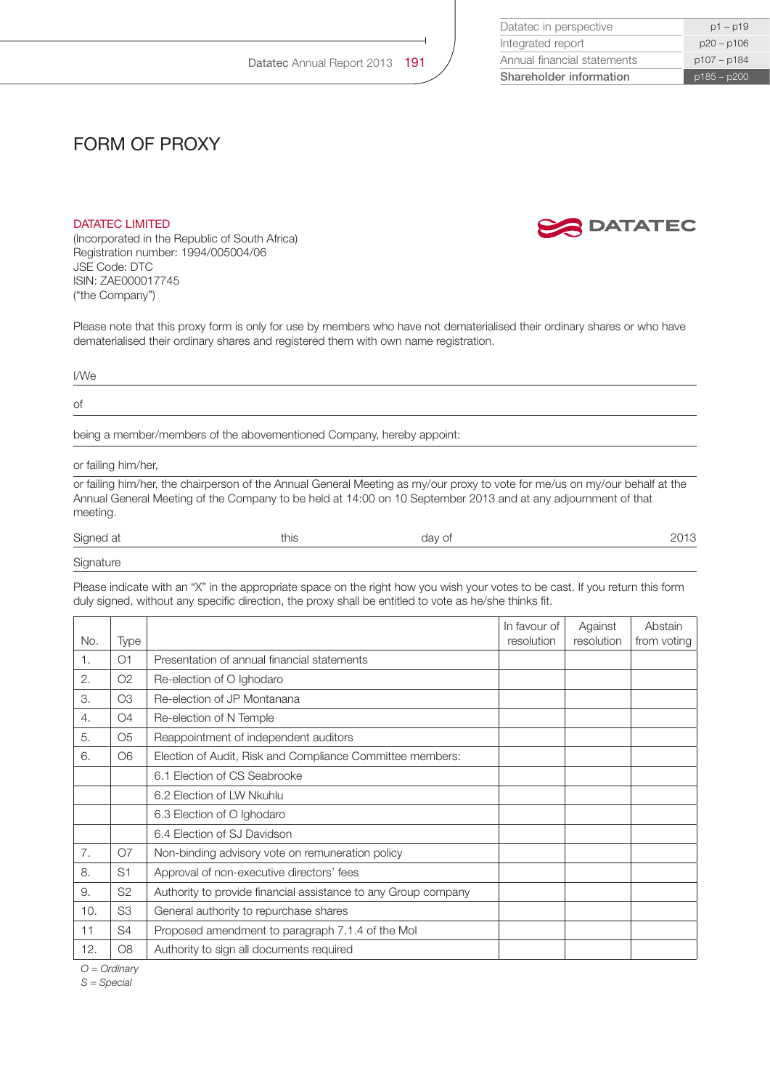| Shareholder information     | $p185 - p200$ |
|-----------------------------|---------------|
| Annual financial statements | p107 - p184   |
| Integrated report           | $p20 - p106$  |
| Datatec in perspective      | $p1 - p19$    |

## form of proxy

## DATATEC LIMITED

(Incorporated in the Republic of South Africa) Registration number: 1994/005004/06 JSE Code: DTC ISIN: ZAE000017745 ("the Company")

Please note that this proxy form is only for use by members who have not dematerialised their ordinary shares or who have dematerialised their ordinary shares and registered them with own name registration.

## I/We of

being a member/members of the abovementioned Company, hereby appoint:

or failing him/her,

or failing him/her, the chairperson of the Annual General Meeting as my/our proxy to vote for me/us on my/our behalf at the Annual General Meeting of the Company to be held at 14:00 on 10 September 2013 and at any adjournment of that meeting.

| Signed at | this | day of |  |
|-----------|------|--------|--|
| Signature |      |        |  |

Please indicate with an "X" in the appropriate space on the right how you wish your votes to be cast. If you return this form duly signed, without any specific direction, the proxy shall be entitled to vote as he/she thinks fit.

|     |                |                                                                | In favour of | Against    | Abstain     |
|-----|----------------|----------------------------------------------------------------|--------------|------------|-------------|
| No. | Type           |                                                                | resolution   | resolution | from voting |
| 1.  | O <sub>1</sub> | Presentation of annual financial statements                    |              |            |             |
| 2.  | O2             | Re-election of O Ighodaro                                      |              |            |             |
| 3.  | O <sub>3</sub> | Re-election of JP Montanana                                    |              |            |             |
| 4.  | O <sub>4</sub> | Re-election of N Temple                                        |              |            |             |
| 5.  | O <sub>5</sub> | Reappointment of independent auditors                          |              |            |             |
| 6.  | O <sub>6</sub> | Election of Audit, Risk and Compliance Committee members:      |              |            |             |
|     |                | 6.1 Election of CS Seabrooke                                   |              |            |             |
|     |                | 6.2 Election of LW Nkuhlu                                      |              |            |             |
|     |                | 6.3 Election of O Ighodaro                                     |              |            |             |
|     |                | 6.4 Election of SJ Davidson                                    |              |            |             |
| 7.  | O7             | Non-binding advisory vote on remuneration policy               |              |            |             |
| 8.  | S <sub>1</sub> | Approval of non-executive directors' fees                      |              |            |             |
| 9.  | S <sub>2</sub> | Authority to provide financial assistance to any Group company |              |            |             |
| 10. | S <sub>3</sub> | General authority to repurchase shares                         |              |            |             |
| 11  | S4             | Proposed amendment to paragraph 7.1.4 of the Mol               |              |            |             |
| 12. | O <sub>8</sub> | Authority to sign all documents required                       |              |            |             |

*O = Ordinary* 

*S = Special*